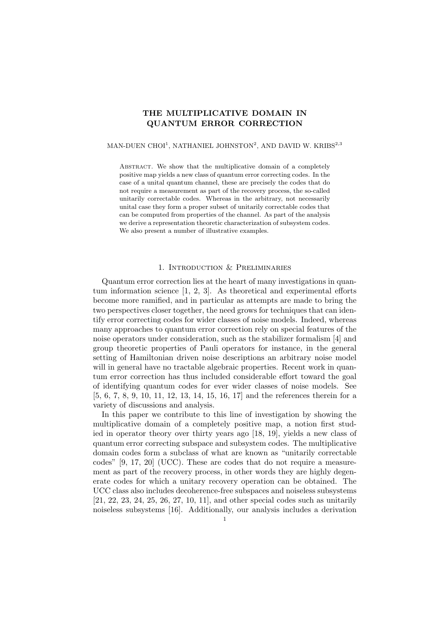# THE MULTIPLICATIVE DOMAIN IN QUANTUM ERROR CORRECTION

## MAN-DUEN CHOI $^1$ , NATHANIEL JOHNSTON $^2$ , AND DAVID W. KRIBS $^{2,3}$

ABSTRACT. We show that the multiplicative domain of a completely positive map yields a new class of quantum error correcting codes. In the case of a unital quantum channel, these are precisely the codes that do not require a measurement as part of the recovery process, the so-called unitarily correctable codes. Whereas in the arbitrary, not necessarily unital case they form a proper subset of unitarily correctable codes that can be computed from properties of the channel. As part of the analysis we derive a representation theoretic characterization of subsystem codes. We also present a number of illustrative examples.

## 1. Introduction & Preliminaries

Quantum error correction lies at the heart of many investigations in quantum information science [1, 2, 3]. As theoretical and experimental efforts become more ramified, and in particular as attempts are made to bring the two perspectives closer together, the need grows for techniques that can identify error correcting codes for wider classes of noise models. Indeed, whereas many approaches to quantum error correction rely on special features of the noise operators under consideration, such as the stabilizer formalism [4] and group theoretic properties of Pauli operators for instance, in the general setting of Hamiltonian driven noise descriptions an arbitrary noise model will in general have no tractable algebraic properties. Recent work in quantum error correction has thus included considerable effort toward the goal of identifying quantum codes for ever wider classes of noise models. See [5, 6, 7, 8, 9, 10, 11, 12, 13, 14, 15, 16, 17] and the references therein for a variety of discussions and analysis.

In this paper we contribute to this line of investigation by showing the multiplicative domain of a completely positive map, a notion first studied in operator theory over thirty years ago [18, 19], yields a new class of quantum error correcting subspace and subsystem codes. The multiplicative domain codes form a subclass of what are known as "unitarily correctable codes" [9, 17, 20] (UCC). These are codes that do not require a measurement as part of the recovery process, in other words they are highly degenerate codes for which a unitary recovery operation can be obtained. The UCC class also includes decoherence-free subspaces and noiseless subsystems [21, 22, 23, 24, 25, 26, 27, 10, 11], and other special codes such as unitarily noiseless subsystems [16]. Additionally, our analysis includes a derivation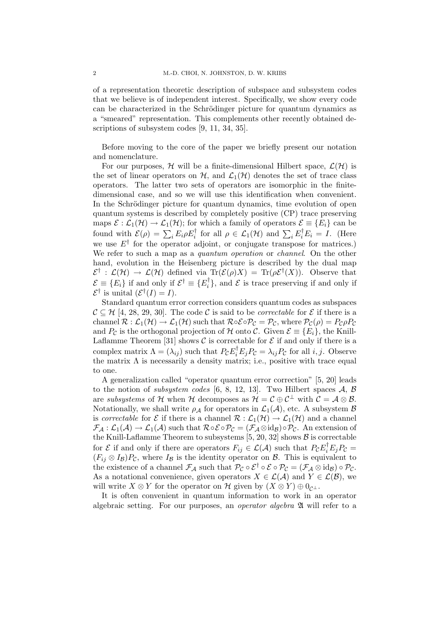of a representation theoretic description of subspace and subsystem codes that we believe is of independent interest. Specifically, we show every code can be characterized in the Schrödinger picture for quantum dynamics as a "smeared" representation. This complements other recently obtained descriptions of subsystem codes [9, 11, 34, 35].

Before moving to the core of the paper we briefly present our notation and nomenclature.

For our purposes,  $H$  will be a finite-dimensional Hilbert space,  $\mathcal{L}(\mathcal{H})$  is the set of linear operators on  $H$ , and  $\mathcal{L}_1(\mathcal{H})$  denotes the set of trace class operators. The latter two sets of operators are isomorphic in the finitedimensional case, and so we will use this identification when convenient. In the Schrödinger picture for quantum dynamics, time evolution of open quantum systems is described by completely positive (CP) trace preserving maps  $\mathcal{E} : \mathcal{L}_1(\mathcal{H}) \to \mathcal{L}_1(\mathcal{H})$ ; for which a family of operators  $\mathcal{E} \equiv \{E_i\}$  can be found with  $\mathcal{E}(\rho) = \sum_i E_i \rho E_i^{\dagger}$  for all  $\rho \in \mathcal{L}_1(\mathcal{H})$  and  $\sum_i E_i^{\dagger} E_i = I$ . (Here we use  $E^{\dagger}$  for the operator adjoint, or conjugate transpose for matrices.) We refer to such a map as a *quantum operation* or *channel*. On the other hand, evolution in the Heisenberg picture is described by the dual map  $\mathcal{E}^{\dagger} : \mathcal{L}(\mathcal{H}) \to \mathcal{L}(\mathcal{H})$  defined via  $\text{Tr}(\mathcal{E}(\rho)X) = \text{Tr}(\rho \mathcal{E}^{\dagger}(X)).$  Observe that  $\mathcal{E} \equiv \{E_i\}$  if and only if  $\mathcal{E}^{\dagger} \equiv \{E_i^{\dagger}\}$  $\{ \xi_i^{\dagger} \}$ , and  $\mathcal{E}$  is trace preserving if and only if  $\mathcal{E}^{\dagger}$  is unital  $(\mathcal{E}^{\dagger}(I)) = I$ .

Standard quantum error correction considers quantum codes as subspaces  $\mathcal{C} \subseteq \mathcal{H}$  [4, 28, 29, 30]. The code C is said to be *correctable* for  $\mathcal{E}$  if there is a channel  $\mathcal{R} : \mathcal{L}_1(\mathcal{H}) \to \mathcal{L}_1(\mathcal{H})$  such that  $\mathcal{R} \circ \mathcal{E} \circ \mathcal{P}_\mathcal{C} = \mathcal{P}_\mathcal{C}$ , where  $\mathcal{P}_\mathcal{C}(\rho) = P_\mathcal{C} \rho P_\mathcal{C}$ and  $P_{\mathcal{C}}$  is the orthogonal projection of H onto C. Given  $\mathcal{E} \equiv \{E_i\}$ , the Knill-Laflamme Theorem [31] shows  $\mathcal C$  is correctable for  $\mathcal E$  if and only if there is a complex matrix  $\Lambda = (\lambda_{ij})$  such that  $P_{\mathcal{C}}E_i^{\dagger}E_jP_{\mathcal{C}} = \lambda_{ij}P_{\mathcal{C}}$  for all *i*, *j*. Observe the matrix  $\Lambda$  is necessarily a density matrix; i.e., positive with trace equal to one.

A generalization called "operator quantum error correction" [5, 20] leads to the notion of *subsystem codes* [6, 8, 12, 13]. Two Hilbert spaces  $A, B$ are subsystems of H when H decomposes as  $\mathcal{H} = \mathcal{C} \oplus \mathcal{C}^{\perp}$  with  $\mathcal{C} = \mathcal{A} \otimes \mathcal{B}$ . Notationally, we shall write  $\rho_A$  for operators in  $\mathcal{L}_1(\mathcal{A})$ , etc. A subsystem  $\mathcal B$ is correctable for  $\mathcal E$  if there is a channel  $\mathcal R: \mathcal L_1(\mathcal H) \to \mathcal L_1(\mathcal H)$  and a channel  $\mathcal{F}_{\mathcal{A}}: \mathcal{L}_1(\mathcal{A}) \to \mathcal{L}_1(\mathcal{A})$  such that  $\mathcal{R} \circ \mathcal{E} \circ \mathcal{P}_{\mathcal{C}} = (\mathcal{F}_{\mathcal{A}} \otimes id_{\mathcal{B}}) \circ \mathcal{P}_{\mathcal{C}}$ . An extension of the Knill-Laflamme Theorem to subsystems  $[5, 20, 32]$  shows  $\mathcal B$  is correctable for  $\mathcal E$  if and only if there are operators  $F_{ij} \in \mathcal L(\mathcal A)$  such that  $P_{\mathcal C} E_i^{\dagger} E_j P_{\mathcal C} =$  $(F_{ij} \otimes I_{\mathcal{B}})P_{\mathcal{C}}$ , where  $I_{\mathcal{B}}$  is the identity operator on  $\mathcal{B}$ . This is equivalent to the existence of a channel  $\mathcal{F}_{\mathcal{A}}$  such that  $\mathcal{P}_{\mathcal{C}} \circ \mathcal{E}^{\dagger} \circ \mathcal{E} \circ \mathcal{P}_{\mathcal{C}} = (\mathcal{F}_{\mathcal{A}} \otimes id_{\mathcal{B}}) \circ \mathcal{P}_{\mathcal{C}}$ . As a notational convenience, given operators  $X \in \mathcal{L}(\mathcal{A})$  and  $Y \in \mathcal{L}(\mathcal{B})$ , we will write  $X \otimes Y$  for the operator on H given by  $(X \otimes Y) \oplus 0_{\mathcal{C}^{\perp}}$ .

It is often convenient in quantum information to work in an operator algebraic setting. For our purposes, an *operator algebra* 24 will refer to a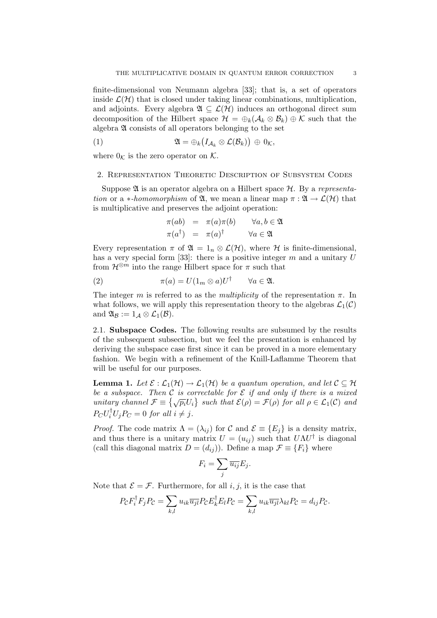finite-dimensional von Neumann algebra [33]; that is, a set of operators inside  $\mathcal{L}(\mathcal{H})$  that is closed under taking linear combinations, multiplication, and adjoints. Every algebra  $\mathfrak{A} \subseteq \mathcal{L}(\mathcal{H})$  induces an orthogonal direct sum decomposition of the Hilbert space  $\mathcal{H} = \bigoplus_k (\mathcal{A}_k \otimes \mathcal{B}_k) \oplus \mathcal{K}$  such that the algebra A consists of all operators belonging to the set

(1) 
$$
\mathfrak{A} = \bigoplus_k \big( I_{\mathcal{A}_k} \otimes \mathcal{L}(\mathcal{B}_k) \big) \oplus 0_{\mathcal{K}},
$$

where  $0<sub>K</sub>$  is the zero operator on K.

#### 2. Representation Theoretic Description of Subsystem Codes

Suppose  $\mathfrak A$  is an operator algebra on a Hilbert space  $\mathcal H$ . By a representation or a \*-homomorphism of  $\mathfrak{A}$ , we mean a linear map  $\pi : \mathfrak{A} \to \mathcal{L}(\mathcal{H})$  that is multiplicative and preserves the adjoint operation:

$$
\pi(ab) = \pi(a)\pi(b) \quad \forall a, b \in \mathfrak{A}
$$
  

$$
\pi(a^{\dagger}) = \pi(a)^{\dagger} \quad \forall a \in \mathfrak{A}
$$

Every representation  $\pi$  of  $\mathfrak{A} = 1_n \otimes \mathcal{L}(\mathcal{H})$ , where  $\mathcal H$  is finite-dimensional, has a very special form [33]: there is a positive integer  $m$  and a unitary  $U$ from  $\mathcal{H}^{\otimes m}$  into the range Hilbert space for  $\pi$  such that

(2) 
$$
\pi(a) = U(1_m \otimes a)U^{\dagger} \qquad \forall a \in \mathfrak{A}.
$$

The integer m is referred to as the multiplicity of the representation  $\pi$ . In what follows, we will apply this representation theory to the algebras  $\mathcal{L}_1(\mathcal{C})$ and  $\mathfrak{A}_{\mathcal{B}} := 1_{\mathcal{A}} \otimes \mathcal{L}_1(\mathcal{B}).$ 

2.1. Subspace Codes. The following results are subsumed by the results of the subsequent subsection, but we feel the presentation is enhanced by deriving the subspace case first since it can be proved in a more elementary fashion. We begin with a refinement of the Knill-Laflamme Theorem that will be useful for our purposes.

**Lemma 1.** Let  $\mathcal{E} : \mathcal{L}_1(\mathcal{H}) \to \mathcal{L}_1(\mathcal{H})$  be a quantum operation, and let  $\mathcal{C} \subseteq \mathcal{H}$ be a subspace. Then C is correctable for E if and only if there is a mixed be a subspace. Then C is correctable for E if and only if there is a mixed<br>unitary channel  $\mathcal{F} \equiv \{ \sqrt{p_i} U_i \}$  such that  $\mathcal{E}(\rho) = \mathcal{F}(\rho)$  for all  $\rho \in \mathcal{L}_1(\mathcal{C})$  and  $P_C U_i^{\dagger} U_j P_C = 0$  for all  $i \neq j$ .

*Proof.* The code matrix  $\Lambda = (\lambda_{ij})$  for C and  $\mathcal{E} \equiv \{E_j\}$  is a density matrix, and thus there is a unitary matrix  $U = (u_{ij})$  such that  $U\Lambda U^{\dagger}$  is diagonal (call this diagonal matrix  $D = (d_{ij})$ ). Define a map  $\mathcal{F} \equiv \{F_i\}$  where

$$
F_i = \sum_j \overline{u_{ij}} E_j.
$$

Note that  $\mathcal{E} = \mathcal{F}$ . Furthermore, for all i, j, it is the case that

$$
P_{\mathcal{C}}F_i^{\dagger}F_jP_{\mathcal{C}} = \sum_{k,l} u_{ik}\overline{u_{jl}}P_{\mathcal{C}}E_k^{\dagger}E_lP_{\mathcal{C}} = \sum_{k,l} u_{ik}\overline{u_{jl}}\lambda_{kl}P_{\mathcal{C}} = d_{ij}P_{\mathcal{C}}.
$$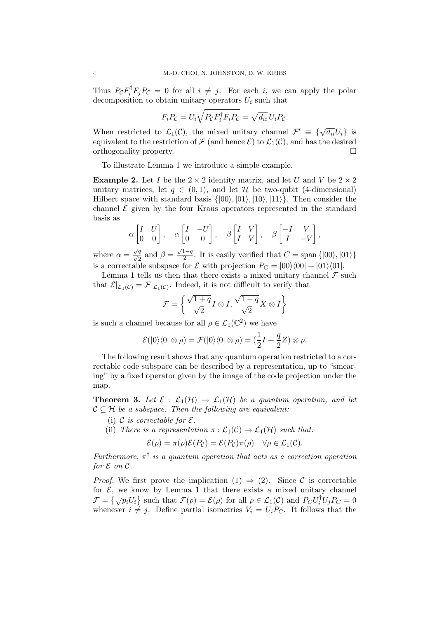Thus  $P_{\mathcal{C}}F_i^{\dagger}F_jP_{\mathcal{C}}=0$  for all  $i \neq j$ . For each i, we can apply the polar decomposition to obtain unitary operators  $U_i$  such that

$$
F_i P_{\mathcal{C}} = U_i \sqrt{P_{\mathcal{C}} F_i^{\dagger} F_i P_{\mathcal{C}}} = \sqrt{d_{ii}} U_i P_{\mathcal{C}}.
$$

When restricted to  $\mathcal{L}_1(\mathcal{C})$ , the mixed unitary channel  $\mathcal{F}' \equiv \{\sqrt{d_{ii}}U_i\}$  is equivalent to the restriction of  $\mathcal F$  (and hence  $\mathcal E$ ) to  $\mathcal L_1(\mathcal C)$ , and has the desired orthogonality property. ¤

To illustrate Lemma 1 we introduce a simple example.

**Example 2.** Let I be the  $2 \times 2$  identity matrix, and let U and V be  $2 \times 2$ unitary matrices, let  $q \in (0,1)$ , and let H be two-qubit (4-dimensional) Hilbert space with standard basis  $\{|00\rangle, |01\rangle, |10\rangle, |11\rangle\}$ . Then consider the channel  $\mathcal E$  given by the four Kraus operators represented in the standard basis as ·  $\overline{a}$ 

$$
\alpha \begin{bmatrix} I & U \\ 0 & 0 \end{bmatrix}, \quad \alpha \begin{bmatrix} I & -U \\ 0 & 0 \end{bmatrix}, \quad \beta \begin{bmatrix} I & V \\ I & V \end{bmatrix}, \quad \beta \begin{bmatrix} -I & V \\ I & -V \end{bmatrix},
$$

where  $\alpha = \frac{\sqrt{q}}{\sqrt{2}}$  and  $\beta =$  $\sqrt{1-q}$  $\frac{1-q}{2}$ . It is easily verified that  $C = \text{span} \{ |00\rangle, |01\rangle \}$ is a correctable subspace for  $\mathcal E$  with projection  $P_C = |00\rangle\langle00| + |01\rangle\langle01|$ .

Lemma 1 tells us then that there exists a mixed unitary channel  $\mathcal F$  such that  $\mathcal{E}|_{\mathcal{L}_1(\mathcal{C})} = \mathcal{F}|_{\mathcal{L}_1(\mathcal{C})}$ . Indeed, it is not difficult to verify that

$$
\mathcal{F} = \left\{ \frac{\sqrt{1+q}}{\sqrt{2}} I \otimes I, \frac{\sqrt{1-q}}{\sqrt{2}} X \otimes I \right\}
$$

is such a channel because for all  $\rho \in \mathcal{L}_1(\mathbb{C}^2)$  we have

$$
\mathcal{E}(|0\rangle\langle 0| \otimes \rho) = \mathcal{F}(|0\rangle\langle 0| \otimes \rho) = (\frac{1}{2}I + \frac{q}{2}Z) \otimes \rho.
$$

The following result shows that any quantum operation restricted to a correctable code subspace can be described by a representation, up to "smearing" by a fixed operator given by the image of the code projection under the map.

**Theorem 3.** Let  $\mathcal{E} : \mathcal{L}_1(\mathcal{H}) \to \mathcal{L}_1(\mathcal{H})$  be a quantum operation, and let  $C \subseteq \mathcal{H}$  be a subspace. Then the following are equivalent:

- (i) C is correctable for  $\mathcal{E}.$
- (ii) There is a representation  $\pi : \mathcal{L}_1(\mathcal{C}) \to \mathcal{L}_1(\mathcal{H})$  such that:

$$
\mathcal{E}(\rho) = \pi(\rho)\mathcal{E}(P_{\mathcal{C}}) = \mathcal{E}(P_{\mathcal{C}})\pi(\rho) \quad \forall \rho \in \mathcal{L}_1(\mathcal{C}).
$$

Furthermore,  $\pi^{\dagger}$  is a quantum operation that acts as a correction operation for  $\mathcal E$  on  $\mathcal C$ .

*Proof.* We first prove the implication  $(1) \Rightarrow (2)$ . Since C is correctable for  $\mathcal{E}$ , we know by Lemma 1 that there exists a mixed unitary channel F = { $\sqrt{p_i}U_i$ } such that  $\mathcal{F}(\rho) = \mathcal{E}(\rho)$  for all  $\rho \in \mathcal{L}_1(\mathcal{C})$  and  $P_C U_i^{\dagger} U_j P_C = 0$ whenever  $i \neq j$ . Define partial isometries  $V_i = U_i P_C$ . It follows that the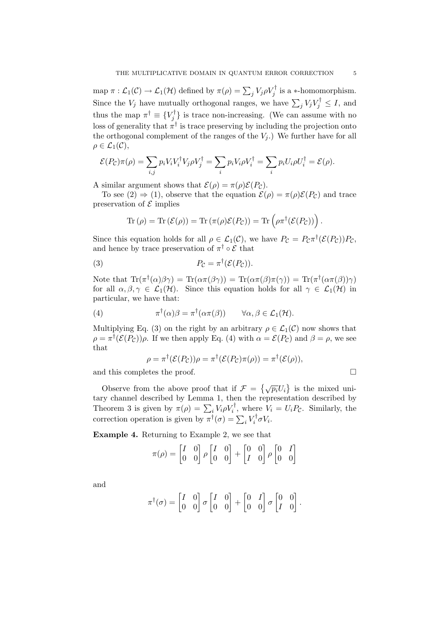map  $\pi : \mathcal{L}_1(\mathcal{C}) \to \mathcal{L}_1(\mathcal{H})$  defined by  $\pi(\rho) = \sum_j V_j \rho V_j^{\dagger}$  is a \*-homomorphism. Since the  $V_j$  have mutually orthogonal ranges, we have  $\sum_j V_j V_j^{\dagger} \leq I$ , and thus the map  $\pi^{\dagger} \equiv \{V_i^{\dagger}$  $\{y_j^{\tau}\}\$ is trace non-increasing. (We can assume with no loss of generality that  $\pi^{\dagger}$  is trace preserving by including the projection onto the orthogonal complement of the ranges of the  $V_i$ .) We further have for all  $\rho \in \mathcal{L}_1(\mathcal{C}),$ 

$$
\mathcal{E}(P_{\mathcal{C}})\pi(\rho) = \sum_{i,j} p_i V_i V_i^{\dagger} V_j \rho V_j^{\dagger} = \sum_i p_i V_i \rho V_i^{\dagger} = \sum_i p_i U_i \rho U_i^{\dagger} = \mathcal{E}(\rho).
$$

A similar argument shows that  $\mathcal{E}(\rho) = \pi(\rho)\mathcal{E}(P_{\mathcal{C}})$ .

To see  $(2) \Rightarrow (1)$ , observe that the equation  $\mathcal{E}(\rho) = \pi(\rho)\mathcal{E}(P_{\mathcal{C}})$  and trace preservation of  $\mathcal E$  implies

$$
\mathrm{Tr}(\rho) = \mathrm{Tr}(\mathcal{E}(\rho)) = \mathrm{Tr}(\pi(\rho)\mathcal{E}(P_{\mathcal{C}})) = \mathrm{Tr}(\rho\pi^{\dagger}(\mathcal{E}(P_{\mathcal{C}})))
$$

Since this equation holds for all  $\rho \in \mathcal{L}_1(\mathcal{C})$ , we have  $P_{\mathcal{C}} = P_{\mathcal{C}} \pi^{\dagger}(\mathcal{E}(P_{\mathcal{C}})) P_{\mathcal{C}}$ , and hence by trace preservation of  $\pi^{\dagger} \circ \mathcal{E}$  that

(3) 
$$
P_{\mathcal{C}} = \pi^{\dagger}(\mathcal{E}(P_{\mathcal{C}})).
$$

Note that  $\text{Tr}(\pi^{\dagger}(\alpha)\beta\gamma) = \text{Tr}(\alpha\pi(\beta\gamma)) = \text{Tr}(\alpha\pi(\beta)\pi(\gamma)) = \text{Tr}(\pi^{\dagger}(\alpha\pi(\beta)\gamma))$ for all  $\alpha, \beta, \gamma \in \mathcal{L}_1(\mathcal{H})$ . Since this equation holds for all  $\gamma \in \mathcal{L}_1(\mathcal{H})$  in particular, we have that:

(4) 
$$
\pi^{\dagger}(\alpha)\beta = \pi^{\dagger}(\alpha\pi(\beta)) \qquad \forall \alpha, \beta \in \mathcal{L}_1(\mathcal{H}).
$$

Multiplying Eq. (3) on the right by an arbitrary  $\rho \in \mathcal{L}_1(\mathcal{C})$  now shows that  $\rho = \pi^{\dagger}(\mathcal{E}(P_{\mathcal{C}}))\rho$ . If we then apply Eq. (4) with  $\alpha = \mathcal{E}(P_{\mathcal{C}})$  and  $\beta = \rho$ , we see that

$$
\rho = \pi^{\dagger}(\mathcal{E}(P_{\mathcal{C}}))\rho = \pi^{\dagger}(\mathcal{E}(P_{\mathcal{C}})\pi(\rho)) = \pi^{\dagger}(\mathcal{E}(\rho)),
$$

and this completes the proof.  $\Box$ 

Observe from the above proof that if  $\mathcal{F} = \{\sqrt{p_i}U_i\}$ is the mixed unitary channel described by Lemma 1, then the representation described by Theorem 3 is given by  $\pi(\rho) = \sum_i V_i \rho V_i^{\dagger}$ , where  $V_i = U_i P_c$ . Similarly, the correction operation is given by  $\pi^{\dagger}(\sigma) = \sum_{i} V_{i}^{\dagger}$ <br>correction operation is given by  $\pi^{\dagger}(\sigma) = \sum_{i} V_{i}^{\dagger}$  $\int_i^{\mathsf{T}} \sigma V_i$ .

Example 4. Returning to Example 2, we see that

$$
\pi(\rho) = \begin{bmatrix} I & 0 \\ 0 & 0 \end{bmatrix} \rho \begin{bmatrix} I & 0 \\ 0 & 0 \end{bmatrix} + \begin{bmatrix} 0 & 0 \\ I & 0 \end{bmatrix} \rho \begin{bmatrix} 0 & I \\ 0 & 0 \end{bmatrix}
$$

and

$$
\pi^{\dagger}(\sigma) = \begin{bmatrix} I & 0 \\ 0 & 0 \end{bmatrix} \sigma \begin{bmatrix} I & 0 \\ 0 & 0 \end{bmatrix} + \begin{bmatrix} 0 & I \\ 0 & 0 \end{bmatrix} \sigma \begin{bmatrix} 0 & 0 \\ I & 0 \end{bmatrix}.
$$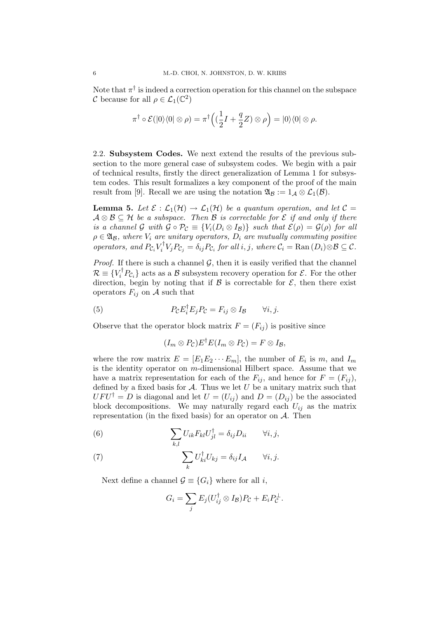Note that  $\pi^{\dagger}$  is indeed a correction operation for this channel on the subspace C because for all  $\rho \in \mathcal{L}_1(\mathbb{C}^2)$ 

$$
\pi^{\dagger} \circ \mathcal{E}(|0\rangle\langle0| \otimes \rho) = \pi^{\dagger} \left( \left( \frac{1}{2}I + \frac{q}{2}Z \right) \otimes \rho \right) = |0\rangle\langle0| \otimes \rho.
$$

2.2. Subsystem Codes. We next extend the results of the previous subsection to the more general case of subsystem codes. We begin with a pair of technical results, firstly the direct generalization of Lemma 1 for subsystem codes. This result formalizes a key component of the proof of the main result from [9]. Recall we are using the notation  $\mathfrak{A}_{\mathcal{B}} := 1_{\mathcal{A}} \otimes \mathcal{L}_1(\mathcal{B})$ .

**Lemma 5.** Let  $\mathcal{E}: \mathcal{L}_1(\mathcal{H}) \to \mathcal{L}_1(\mathcal{H})$  be a quantum operation, and let  $\mathcal{C} =$  $A \otimes B \subseteq H$  be a subspace. Then B is correctable for E if and only if there is a channel G with  $\mathcal{G} \circ \mathcal{P}_{\mathcal{C}} \equiv \{V_i(D_i \otimes I_{\mathcal{B}})\}\$  such that  $\mathcal{E}(\rho) = \mathcal{G}(\rho)$  for all  $\rho \in \mathfrak{A}_{\mathcal{B}}$ , where  $V_i$  are unitary operators,  $D_i$  are mutually commuting positive operators, and  $P_{\mathcal{C}_i} V_i^{\dagger}$  $\mathcal{C}_i^{\mathsf{T}} V_j P_{\mathcal{C}_j} = \delta_{ij} P_{\mathcal{C}_i}$  for all  $i, j$ , where  $\mathcal{C}_i = \text{Ran}(D_i) \otimes \mathcal{B} \subseteq \mathcal{C}$ .

*Proof.* If there is such a channel  $G$ , then it is easily verified that the channel  $\mathcal{R} \equiv \{V_i^{\dagger} P_{\mathcal{C}_i}\}\$ acts as a  $\mathcal{B}$  subsystem recovery operation for  $\mathcal{E}$ . For the other direction, begin by noting that if  $\beta$  is correctable for  $\mathcal{E}$ , then there exist operators  $F_{ij}$  on A such that

(5) 
$$
P_{\mathcal{C}}E_i^{\dagger}E_jP_{\mathcal{C}}=F_{ij}\otimes I_{\mathcal{B}} \qquad \forall i,j.
$$

Observe that the operator block matrix  $F = (F_{ij})$  is positive since

$$
(I_m \otimes P_{\mathcal{C}})E^{\dagger}E(I_m \otimes P_{\mathcal{C}}) = F \otimes I_{\mathcal{B}},
$$

where the row matrix  $E = [E_1 E_2 \cdots E_m]$ , the number of  $E_i$  is m, and  $I_m$ is the identity operator on  $m$ -dimensional Hilbert space. Assume that we have a matrix representation for each of the  $F_{ij}$ , and hence for  $F = (F_{ij})$ , defined by a fixed basis for  $A$ . Thus we let  $U$  be a unitary matrix such that  $UFU^{\dagger} = D$  is diagonal and let  $U = (U_{ij})$  and  $D = (D_{ij})$  be the associated block decompositions. We may naturally regard each  $U_{ij}$  as the matrix representation (in the fixed basis) for an operator on  $A$ . Then

(6) 
$$
\sum_{k,l} U_{ik} F_{kl} U_{jl}^{\dagger} = \delta_{ij} D_{ii} \qquad \forall i, j,
$$

(7) 
$$
\sum_{k} U_{ki}^{\dagger} U_{kj} = \delta_{ij} I_{\mathcal{A}} \qquad \forall i, j.
$$

Next define a channel  $\mathcal{G} \equiv \{G_i\}$  where for all i,

$$
G_i = \sum_j E_j (U_{ij}^\dagger \otimes I_{\mathcal{B}}) P_{\mathcal{C}} + E_i P_{\mathcal{C}}^\perp.
$$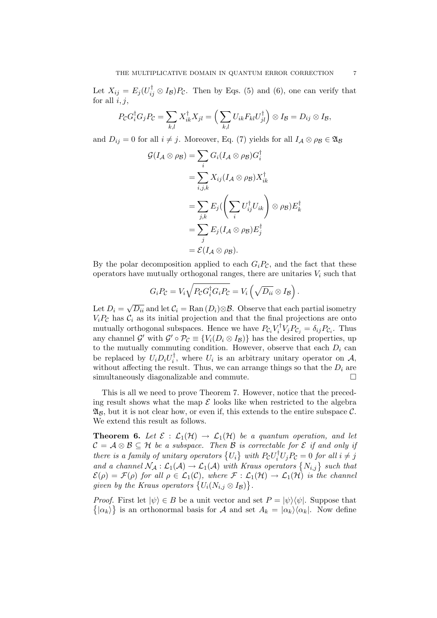Let  $X_{ij} = E_j(U_{ij}^\dagger \otimes I_B)P_c$ . Then by Eqs. (5) and (6), one can verify that for all  $i, j$ ,

$$
P_{\mathcal{C}}G_i^{\dagger}G_jP_{\mathcal{C}}=\sum_{k,l}X_{ik}^{\dagger}X_{jl}=\Big(\sum_{k,l}U_{ik}F_{kl}U_{jl}^{\dagger}\Big)\otimes I_{\mathcal{B}}=D_{ij}\otimes I_{\mathcal{B}},
$$

and  $D_{ij} = 0$  for all  $i \neq j$ . Moreover, Eq. (7) yields for all  $I_A \otimes \rho_B \in \mathfrak{A}_B$ 

$$
\mathcal{G}(I_{\mathcal{A}} \otimes \rho_{\mathcal{B}}) = \sum_{i} G_{i}(I_{\mathcal{A}} \otimes \rho_{\mathcal{B}}) G_{i}^{\dagger} \n= \sum_{i,j,k} X_{ij}(I_{\mathcal{A}} \otimes \rho_{\mathcal{B}}) X_{ik}^{\dagger} \n= \sum_{j,k} E_{j} \left( \sum_{i} U_{ij}^{\dagger} U_{ik} \right) \otimes \rho_{\mathcal{B}}) E_{k}^{\dagger} \n= \sum_{j} E_{j}(I_{\mathcal{A}} \otimes \rho_{\mathcal{B}}) E_{j}^{\dagger} \n= \mathcal{E}(I_{\mathcal{A}} \otimes \rho_{\mathcal{B}}).
$$

By the polar decomposition applied to each  $G_iP_{\mathcal{C}}$ , and the fact that these operators have mutually orthogonal ranges, there are unitaries  $V_i$  such that

$$
G_i P_{\mathcal{C}} = V_i \sqrt{P_{\mathcal{C}} G_i^{\dagger} G_i P_{\mathcal{C}}} = V_i \left( \sqrt{D_{ii}} \otimes I_{\mathcal{B}} \right).
$$

Let  $D_i =$ √  $\overline{D_{ii}}$  and let  $\mathcal{C}_i = \text{Ran}(D_i) \otimes \mathcal{B}$ . Observe that each partial isometry  $V_iP_c$  has  $C_i$  as its initial projection and that the final projections are onto mutually orthogonal subspaces. Hence we have  $P_{\mathcal{C}_i} V_i^{\dagger}$  $i^{\mathsf{T}} V_j P_{\mathcal{C}_j} = \delta_{ij} P_{\mathcal{C}_i}$ . Thus any channel G' with  $\mathcal{G}' \circ \mathcal{P}_{\mathcal{C}} \equiv \{V_i(D_i \otimes I_{\mathcal{B}})\}\$  has the desired properties, up to the mutually commuting condition. However, observe that each  $D_i$  can be replaced by  $U_i D_i U_i^{\dagger}$  $U_i$ , where  $U_i$  is an arbitrary unitary operator on  $\mathcal{A}$ , without affecting the result. Thus, we can arrange things so that the  $D_i$  are simultaneously diagonalizable and commute.  $\Box$ 

This is all we need to prove Theorem 7. However, notice that the preceding result shows what the map  $\mathcal E$  looks like when restricted to the algebra  $\mathfrak{A}_{\mathcal{B}}$ , but it is not clear how, or even if, this extends to the entire subspace C. We extend this result as follows.

**Theorem 6.** Let  $\mathcal{E} : \mathcal{L}_1(\mathcal{H}) \to \mathcal{L}_1(\mathcal{H})$  be a quantum operation, and let  $C = A \otimes B \subseteq H$  be a subspace. Then B is correctable for E if and only if  $\mathcal{L} = \mathcal{A} \otimes \mathcal{B} \subseteq \mathcal{A}$  be a subspace. Then  $\mathcal{B}$  is correctable for  $\mathcal{L}$  if and only if<br>there is a family of unitary operators  $\{U_i\}$  with  $P_{\mathcal{C}}U_i^{\dagger}U_jP_{\mathcal{C}} = 0$  for all  $i \neq j$ and a channel  $N_A : L_1(\mathcal{A}) \to L_1(\mathcal{A})$  with Kraus operators  $\{N_{i,j}\}$  such that  $\mathcal{E}(\rho) = \mathcal{F}(\rho)$  for all  $\rho \in \mathcal{L}_1(\mathcal{C})$ , where  $\mathcal{F} : \mathcal{L}_1(\mathcal{H}) \to \mathcal{L}_1(\mathcal{H})$  is the channel  $\mathcal{Z}(\rho) = \mathcal{F}(\rho)$  for all  $\rho \in \mathcal{L}_1(\mathcal{C})$ , where  $\mathcal{F} : \mathcal{L}_1$ <br>given by the Kraus operators  $\{U_i(N_{i,j} \otimes I_B)\}.$ 

*Proof.* First let  $|\psi\rangle \in B$  be a unit vector and set  $P = |\psi\rangle\langle\psi|$ . Suppose that  $|\alpha_k\rangle$  is an orthonormal basis for A and set  $A_k = |\alpha_k\rangle\langle\alpha_k|$ . Now define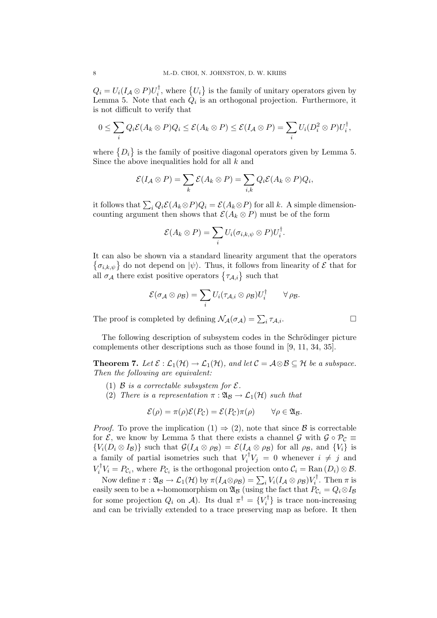$Q_i = U_i (I_{\mathcal{A}} \otimes P) U_i^{\dagger}$  $i^{\dagger}$ , where  $\{U_i$ ª is the family of unitary operators given by Lemma 5. Note that each  $Q_i$  is an orthogonal projection. Furthermore, it is not difficult to verify that

$$
0 \leq \sum_i Q_i \mathcal{E}(A_k \otimes P) Q_i \leq \mathcal{E}(A_k \otimes P) \leq \mathcal{E}(I_{\mathcal{A}} \otimes P) = \sum_i U_i (D_i^2 \otimes P) U_i^{\dagger},
$$

where  $\{D_i$ ª is the family of positive diagonal operators given by Lemma 5. Since the above inequalities hold for all k and

$$
\mathcal{E}(I_{\mathcal{A}}\otimes P)=\sum_{k}\mathcal{E}(A_{k}\otimes P)=\sum_{i,k}Q_{i}\mathcal{E}(A_{k}\otimes P)Q_{i},
$$

it follows that  $\sum_i Q_i \mathcal{E}(A_k \otimes P) Q_i = \mathcal{E}(A_k \otimes P)$  for all k. A simple dimensioncounting argument then shows that  $\mathcal{E}(A_k \otimes P)$  must be of the form

$$
\mathcal{E}(A_k \otimes P) = \sum_i U_i(\sigma_{i,k,\psi} \otimes P) U_i^{\dagger}.
$$

It can also be shown via a standard linearity argument that the operators ©  $\sigma_{i,k,\psi}$  do not depend on  $|\psi\rangle$ . Thus, it follows from linearity of  $\mathcal E$  that for  $\{o_{i,k,\psi}\}\$  do not depend on  $|\psi\rangle$ . Thus, it follows from<br>all  $\sigma_{\mathcal{A}}\$  there exist positive operators  $\{\tau_{\mathcal{A},i}\}\$  such that

$$
\mathcal{E}(\sigma_{\mathcal{A}}\otimes\rho_{\mathcal{B}})=\sum_{i}U_{i}(\tau_{\mathcal{A},i}\otimes\rho_{\mathcal{B}})U_{i}^{\dagger}\qquad\forall\,\rho_{\mathcal{B}}.
$$

The proof is completed by defining  $\mathcal{N}_{\mathcal{A}}(\sigma_{\mathcal{A}}) = \sum_{i} \tau_{\mathcal{A},i}$ .

The following description of subsystem codes in the Schrödinger picture complements other descriptions such as those found in [9, 11, 34, 35].

**Theorem 7.** Let  $\mathcal{E} : \mathcal{L}_1(\mathcal{H}) \to \mathcal{L}_1(\mathcal{H})$ , and let  $\mathcal{C} = \mathcal{A} \otimes \mathcal{B} \subseteq \mathcal{H}$  be a subspace. Then the following are equivalent:

- (1) B is a correctable subsystem for  $\mathcal{E}.$
- (2) There is a representation  $\pi : \mathfrak{A}_{\mathcal{B}} \to \mathcal{L}_1(\mathcal{H})$  such that

$$
\mathcal{E}(\rho) = \pi(\rho)\mathcal{E}(P_{\mathcal{C}}) = \mathcal{E}(P_{\mathcal{C}})\pi(\rho) \qquad \forall \rho \in \mathfrak{A}_{\mathcal{B}}.
$$

*Proof.* To prove the implication  $(1) \Rightarrow (2)$ , note that since B is correctable for  $\mathcal{E}$ , we know by Lemma 5 that there exists a channel  $\mathcal{G}$  with  $\mathcal{G} \circ \mathcal{P}_\mathcal{C} \equiv$  $\{V_i(D_i \otimes I_B)\}\$  such that  $\mathcal{G}(I_A \otimes \rho_B) = \mathcal{E}(I_A \otimes \rho_B)$  for all  $\rho_B$ , and  $\{V_i\}$  is a family of partial isometries such that  $V_i^{\dagger}$  $i^{\mathsf{T}} V_j = 0$  whenever  $i \neq j$  and  $V_i^\dagger$  $i^{\tau}V_i = P_{\mathcal{C}_i}$ , where  $P_{\mathcal{C}_i}$  is the orthogonal projection onto  $\mathcal{C}_i = \text{Ran}(D_i) \otimes \mathcal{B}$ .

Now define  $\pi : \mathfrak{A}_\mathcal{B} \to \mathcal{L}_1(\mathcal{H})$  by  $\pi(I_\mathcal{A} \otimes \rho_\mathcal{B}) = \sum_i V_i(I_\mathcal{A} \otimes \rho_\mathcal{B}) V_i^\dagger$  $\zeta_i^{\dagger}$ . Then  $\pi$  is easily seen to be a ∗-homomorphism on  $\mathfrak{A}_\mathcal{B}$  (using the fact that  $P_{\mathcal{C}_i} = Q_i \otimes I_\mathcal{B}$ for some projection  $Q_i$  on  $\mathcal{A}$ ). Its dual  $\pi^{\dagger} = \{V_i^{\dagger}$  $\{i}^{\dagger}\}$  is trace non-increasing and can be trivially extended to a trace preserving map as before. It then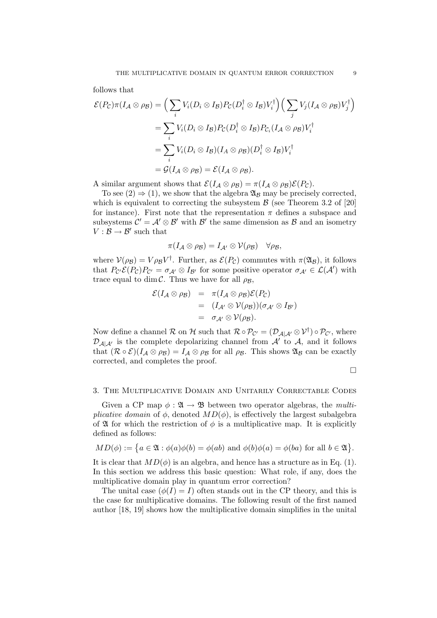follows that

$$
\mathcal{E}(P_{\mathcal{C}})\pi(I_{\mathcal{A}}\otimes\rho_{\mathcal{B}})=\Big(\sum_{i}V_{i}(D_{i}\otimes I_{\mathcal{B}})P_{\mathcal{C}}(D_{i}^{\dagger}\otimes I_{\mathcal{B}})V_{i}^{\dagger}\Big)\Big(\sum_{j}V_{j}(I_{\mathcal{A}}\otimes\rho_{\mathcal{B}})V_{j}^{\dagger}\Big)
$$

$$
=\sum_{i}V_{i}(D_{i}\otimes I_{\mathcal{B}})P_{\mathcal{C}}(D_{i}^{\dagger}\otimes I_{\mathcal{B}})P_{\mathcal{C}_{i}}(I_{\mathcal{A}}\otimes\rho_{\mathcal{B}})V_{i}^{\dagger}
$$

$$
=\sum_{i}V_{i}(D_{i}\otimes I_{\mathcal{B}})(I_{\mathcal{A}}\otimes\rho_{\mathcal{B}})(D_{i}^{\dagger}\otimes I_{\mathcal{B}})V_{i}^{\dagger}
$$

$$
=\mathcal{G}(I_{\mathcal{A}}\otimes\rho_{\mathcal{B}})=\mathcal{E}(I_{\mathcal{A}}\otimes\rho_{\mathcal{B}}).
$$

A similar argument shows that  $\mathcal{E}(I_{\mathcal{A}} \otimes \rho_{\mathcal{B}}) = \pi (I_{\mathcal{A}} \otimes \rho_{\mathcal{B}}) \mathcal{E}(P_{\mathcal{C}}).$ 

To see  $(2) \Rightarrow (1)$ , we show that the algebra  $\mathfrak{A}_{\mathcal{B}}$  may be precisely corrected, which is equivalent to correcting the subsystem  $\beta$  (see Theorem 3.2 of [20] for instance). First note that the representation  $\pi$  defines a subspace and subsystems  $\mathcal{C}' = \mathcal{A}' \otimes \mathcal{B}'$  with  $\mathcal{B}'$  the same dimension as  $\mathcal{B}$  and an isometry  $V: \mathcal{B} \to \mathcal{B}'$  such that

$$
\pi(I_{\mathcal{A}}\otimes\rho_{\mathcal{B}})=I_{\mathcal{A}'}\otimes\mathcal{V}(\rho_{\mathcal{B}})\quad\forall\rho_{\mathcal{B}},
$$

where  $V(\rho_B) = V \rho_B V^{\dagger}$ . Further, as  $\mathcal{E}(P_{\mathcal{C}})$  commutes with  $\pi(\mathfrak{A}_B)$ , it follows that  $P_{\mathcal{C}'}\mathcal{E}(P_{\mathcal{C}})P_{\mathcal{C}'}=\sigma_{\mathcal{A}'}\otimes I_{\mathcal{B}'}$  for some positive operator  $\sigma_{\mathcal{A}'}\in\mathcal{L}(\mathcal{A}')$  with trace equal to dim C. Thus we have for all  $\rho_B$ ,

$$
\mathcal{E}(I_{\mathcal{A}} \otimes \rho_{\mathcal{B}}) = \pi(I_{\mathcal{A}} \otimes \rho_{\mathcal{B}}) \mathcal{E}(P_{\mathcal{C}})
$$
  
=  $(I_{\mathcal{A}'} \otimes \mathcal{V}(\rho_{\mathcal{B}}))(\sigma_{\mathcal{A}'} \otimes I_{\mathcal{B}'})$   
=  $\sigma_{\mathcal{A}'} \otimes \mathcal{V}(\rho_{\mathcal{B}}).$ 

Now define a channel R on H such that  $\mathcal{R} \circ \mathcal{P}_{\mathcal{C}'} = (\mathcal{D}_{\mathcal{A}|\mathcal{A}'} \otimes \mathcal{V}^{\dagger}) \circ \mathcal{P}_{\mathcal{C}'},$  where  $\mathcal{D}_{\mathcal{A}|\mathcal{A}'}$  is the complete depolarizing channel from  $\mathcal{A}'$  to  $\mathcal{A}$ , and it follows that  $(\mathcal{R} \circ \mathcal{E})(I_{\mathcal{A}} \otimes \rho_{\mathcal{B}}) = I_{\mathcal{A}} \otimes \rho_{\mathcal{B}}$  for all  $\rho_{\mathcal{B}}$ . This shows  $\mathfrak{A}_{\mathcal{B}}$  can be exactly corrected, and completes the proof.

 $\Box$ 

#### 3. The Multiplicative Domain and Unitarily Correctable Codes

Given a CP map  $\phi : \mathfrak{A} \to \mathfrak{B}$  between two operator algebras, the *multi*plicative domain of  $\phi$ , denoted  $MD(\phi)$ , is effectively the largest subalgebra of  $\mathfrak A$  for which the restriction of  $\phi$  is a multiplicative map. It is explicitly defined as follows:

$$
MD(\phi) := \{ a \in \mathfrak{A} : \phi(a)\phi(b) = \phi(ab) \text{ and } \phi(b)\phi(a) = \phi(ba) \text{ for all } b \in \mathfrak{A} \}.
$$

It is clear that  $MD(\phi)$  is an algebra, and hence has a structure as in Eq. (1). In this section we address this basic question: What role, if any, does the multiplicative domain play in quantum error correction?

The unital case  $(\phi(I) = I)$  often stands out in the CP theory, and this is the case for multiplicative domains. The following result of the first named author [18, 19] shows how the multiplicative domain simplifies in the unital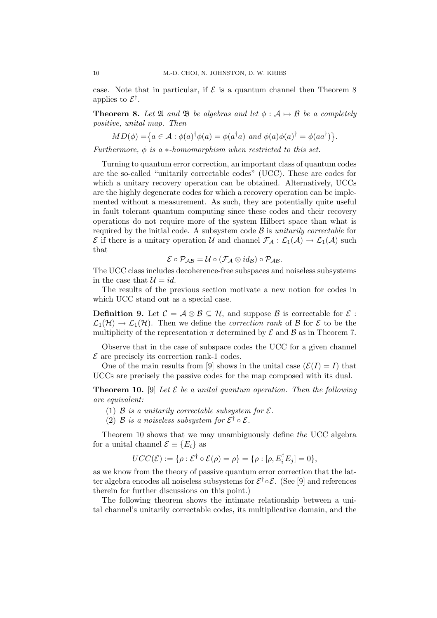case. Note that in particular, if  $\mathcal E$  is a quantum channel then Theorem 8 applies to  $\mathcal{E}^{\dagger}$ .

**Theorem 8.** Let  $\mathfrak{A}$  and  $\mathfrak{B}$  be algebras and let  $\phi : \mathcal{A} \mapsto \mathcal{B}$  be a completely positive, unital map. Then

$$
MD(\phi) = \{a \in \mathcal{A} : \phi(a)^{\dagger} \phi(a) = \phi(a^{\dagger} a) \text{ and } \phi(a) \phi(a)^{\dagger} = \phi(aa^{\dagger})\}.
$$

Furthermore,  $\phi$  is a  $*$ -homomorphism when restricted to this set.

Turning to quantum error correction, an important class of quantum codes are the so-called "unitarily correctable codes" (UCC). These are codes for which a unitary recovery operation can be obtained. Alternatively, UCCs are the highly degenerate codes for which a recovery operation can be implemented without a measurement. As such, they are potentially quite useful in fault tolerant quantum computing since these codes and their recovery operations do not require more of the system Hilbert space than what is required by the initial code. A subsystem code  $\beta$  is unitarily correctable for  $\mathcal E$  if there is a unitary operation U and channel  $\mathcal F_A: \mathcal L_1(\mathcal A) \to \mathcal L_1(\mathcal A)$  such that

$$
\mathcal{E} \circ \mathcal{P}_{\mathcal{A}\mathcal{B}} = \mathcal{U} \circ (\mathcal{F}_{\mathcal{A}} \otimes id_{\mathcal{B}}) \circ \mathcal{P}_{\mathcal{A}\mathcal{B}}.
$$

The UCC class includes decoherence-free subspaces and noiseless subsystems in the case that  $\mathcal{U} = id$ .

The results of the previous section motivate a new notion for codes in which UCC stand out as a special case.

**Definition 9.** Let  $C = \mathcal{A} \otimes \mathcal{B} \subseteq \mathcal{H}$ , and suppose  $\mathcal{B}$  is correctable for  $\mathcal{E}$ :  $\mathcal{L}_1(\mathcal{H}) \to \mathcal{L}_1(\mathcal{H})$ . Then we define the *correction rank* of B for E to be the multiplicity of the representation  $\pi$  determined by  $\mathcal E$  and  $\mathcal B$  as in Theorem 7.

Observe that in the case of subspace codes the UCC for a given channel  $\mathcal E$  are precisely its correction rank-1 codes.

One of the main results from [9] shows in the unital case  $(\mathcal{E}(I) = I)$  that UCCs are precisely the passive codes for the map composed with its dual.

**Theorem 10.** [9] Let  $\mathcal{E}$  be a unital quantum operation. Then the following are equivalent:

- (1)  $\beta$  is a unitarily correctable subsystem for  $\mathcal{E}$ .
- (2) B is a noiseless subsystem for  $\mathcal{E}^{\dagger} \circ \mathcal{E}$ .

Theorem 10 shows that we may unambiguously define the UCC algebra for a unital channel  $\mathcal{E} \equiv \{E_i\}$  as

$$
UCC(\mathcal{E}) := \{ \rho : \mathcal{E}^{\dagger} \circ \mathcal{E}(\rho) = \rho \} = \{ \rho : [\rho, E_i^{\dagger} E_j] = 0 \},
$$

as we know from the theory of passive quantum error correction that the latter algebra encodes all noiseless subsystems for  $\mathcal{E}^{\dagger} \circ \mathcal{E}$ . (See [9] and references therein for further discussions on this point.)

The following theorem shows the intimate relationship between a unital channel's unitarily correctable codes, its multiplicative domain, and the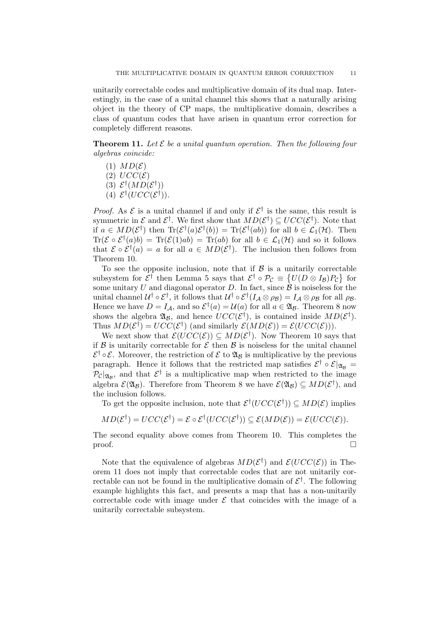unitarily correctable codes and multiplicative domain of its dual map. Interestingly, in the case of a unital channel this shows that a naturally arising object in the theory of CP maps, the multiplicative domain, describes a class of quantum codes that have arisen in quantum error correction for completely different reasons.

**Theorem 11.** Let  $\mathcal{E}$  be a unital quantum operation. Then the following four algebras coincide:

- $(1)$   $MD(\mathcal{E})$
- (2)  $UCC(\mathcal{E})$
- (3)  $\mathcal{E}^{\dagger}(MD(\mathcal{E}^{\dagger}))$
- (4)  $\mathcal{E}^{\dagger}(UCC(\mathcal{E}^{\dagger})).$

*Proof.* As  $\mathcal{E}$  is a unital channel if and only if  $\mathcal{E}^{\dagger}$  is the same, this result is symmetric in  $\mathcal E$  and  $\mathcal E^{\dagger}$ . We first show that  $MD(\mathcal E^{\dagger}) \subseteq UCC(\mathcal E^{\dagger})$ . Note that if  $a \in MD(\mathcal{E}^{\dagger})$  then  $\text{Tr}(\mathcal{E}^{\dagger}(a)\mathcal{E}^{\dagger}(b)) = \text{Tr}(\mathcal{E}^{\dagger}(ab))$  for all  $b \in \mathcal{L}_1(\mathcal{H})$ . Then  $\text{Tr}(\mathcal{E} \circ \mathcal{E}^{\dagger}(a)b) = \text{Tr}(\mathcal{E}(1)ab) = \text{Tr}(ab)$  for all  $b \in \mathcal{L}_1(\mathcal{H})$  and so it follows that  $\mathcal{E} \circ \mathcal{E}^{\dagger}(a) = a$  for all  $a \in MD(\mathcal{E}^{\dagger})$ . The inclusion then follows from Theorem 10.

To see the opposite inclusion, note that if  $\mathcal{B}$  is a unitarily correctable subsystem for  $\mathcal{E}^{\dagger}$  then Lemma 5 says that  $\mathcal{E}^{\dagger} \circ \mathcal{P}_{\mathcal{C}} \equiv \{U(D \otimes I_{\mathcal{B}})P_{\mathcal{C}}\}\)$  for some unitary U and diagonal operator D. In fact, since  $\hat{\mathcal{B}}$  is noiseless for the unital channel  $\mathcal{U}^{\dagger} \circ \mathcal{E}^{\dagger}$ , it follows that  $\mathcal{U}^{\dagger} \circ \mathcal{E}^{\dagger}(I_{\mathcal{A}} \otimes \rho_{\mathcal{B}}) = I_{\mathcal{A}} \otimes \rho_{\mathcal{B}}$  for all  $\rho_{\mathcal{B}}$ . Hence we have  $D = I_{\mathcal{A}}$ , and so  $\mathcal{E}^{\dagger}(a) = \mathcal{U}(a)$  for all  $a \in \mathfrak{A}_{\mathcal{B}}$ . Theorem 8 now shows the algebra  $\mathfrak{A}_{\mathcal{B}}$ , and hence  $UCC(\mathcal{E}^{\dagger})$ , is contained inside  $MD(\mathcal{E}^{\dagger})$ . Thus  $MD(\mathcal{E}^{\dagger}) = UCC(\mathcal{E}^{\dagger})$  (and similarly  $\mathcal{E}(MD(\mathcal{E})) = \mathcal{E}(UCC(\mathcal{E}))).$ 

We next show that  $\mathcal{E}(UCC(\mathcal{E})) \subseteq MD(\mathcal{E}^{\dagger})$ . Now Theorem 10 says that if  $\beta$  is unitarily correctable for  $\mathcal E$  then  $\beta$  is noiseless for the unital channel  $\mathcal{E}^{\dagger} \circ \mathcal{E}$ . Moreover, the restriction of  $\mathcal{E}$  to  $\mathfrak{A}_{\mathcal{B}}$  is multiplicative by the previous paragraph. Hence it follows that the restricted map satisfies  $\mathcal{E}^{\dagger} \circ \mathcal{E}|_{\mathfrak{A}_{\mathcal{B}}} =$  $\mathcal{P}_{\mathcal{C}}|_{\mathfrak{A}_{\mathcal{B}}}$ , and that  $\mathcal{E}^{\dagger}$  is a multiplicative map when restricted to the image algebra  $\mathcal{E}(\mathfrak{A}_\mathcal{B})$ . Therefore from Theorem 8 we have  $\mathcal{E}(\mathfrak{A}_\mathcal{B}) \subseteq MD(\mathcal{E}^\dagger)$ , and the inclusion follows.

To get the opposite inclusion, note that  $\mathcal{E}^{\dagger}(UCC(\mathcal{E}^{\dagger})) \subseteq MD(\mathcal{E})$  implies

$$
MD(\mathcal{E}^{\dagger}) = UCC(\mathcal{E}^{\dagger}) = \mathcal{E} \circ \mathcal{E}^{\dagger} (UCC(\mathcal{E}^{\dagger})) \subseteq \mathcal{E}(MD(\mathcal{E})) = \mathcal{E}(UCC(\mathcal{E})).
$$

The second equality above comes from Theorem 10. This completes the  $\Box$ 

Note that the equivalence of algebras  $MD(\mathcal{E}^{\dagger})$  and  $\mathcal{E}(UCC(\mathcal{E}))$  in Theorem 11 does not imply that correctable codes that are not unitarily correctable can not be found in the multiplicative domain of  $\mathcal{E}^{\dagger}$ . The following example highlights this fact, and presents a map that has a non-unitarily correctable code with image under  $\mathcal E$  that coincides with the image of a unitarily correctable subsystem.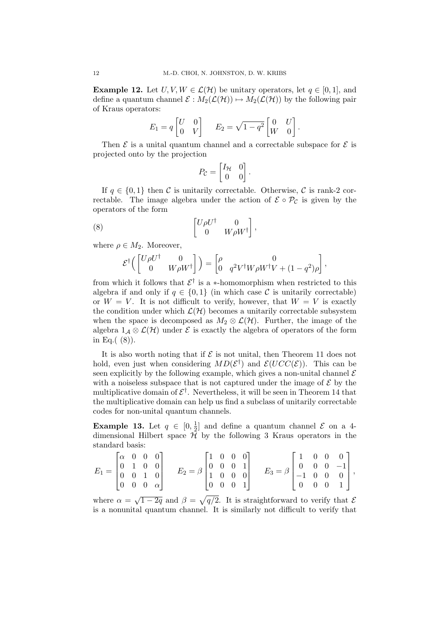**Example 12.** Let  $U, V, W \in \mathcal{L}(\mathcal{H})$  be unitary operators, let  $q \in [0, 1]$ , and define a quantum channel  $\mathcal{E}: M_2(\mathcal{L}(\mathcal{H})) \mapsto M_2(\mathcal{L}(\mathcal{H}))$  by the following pair of Kraus operators:

$$
E_1 = q \begin{bmatrix} U & 0 \\ 0 & V \end{bmatrix} \qquad E_2 = \sqrt{1 - q^2} \begin{bmatrix} 0 & U \\ W & 0 \end{bmatrix}
$$

.

Then  $\mathcal E$  is a unital quantum channel and a correctable subspace for  $\mathcal E$  is projected onto by the projection

$$
P_{\mathcal{C}} = \begin{bmatrix} I_{\mathcal{H}} & 0 \\ 0 & 0 \end{bmatrix}.
$$

If  $q \in \{0, 1\}$  then C is unitarily correctable. Otherwise, C is rank-2 correctable. The image algebra under the action of  $\mathcal{E} \circ \mathcal{P}_{\mathcal{C}}$  is given by the operators of the form ·  $\overline{a}$ 

U ρU† 0 0 W ρW† (8) ,

where  $\rho \in M_2$ . Moreover,

$$
\mathcal{E}^{\dagger} \Big( \begin{bmatrix} U \rho U^{\dagger} & 0 \\ 0 & W \rho W^{\dagger} \end{bmatrix} \Big) = \begin{bmatrix} \rho & 0 \\ 0 & q^2 V^{\dagger} W \rho W^{\dagger} V + (1 - q^2) \rho \end{bmatrix},
$$

from which it follows that  $\mathcal{E}^{\dagger}$  is a \*-homomorphism when restricted to this algebra if and only if  $q \in \{0,1\}$  (in which case C is unitarily correctable) or  $W = V$ . It is not difficult to verify, however, that  $W = V$  is exactly the condition under which  $\mathcal{L}(\mathcal{H})$  becomes a unitarily correctable subsystem when the space is decomposed as  $M_2 \otimes \mathcal{L}(\mathcal{H})$ . Further, the image of the algebra  $1_A \otimes \mathcal{L}(\mathcal{H})$  under  $\mathcal E$  is exactly the algebra of operators of the form in Eq. $( (8))$ .

It is also worth noting that if  $\mathcal E$  is not unital, then Theorem 11 does not hold, even just when considering  $MD(\mathcal{E}^{\dagger})$  and  $\mathcal{E}(UCC(\mathcal{E}))$ . This can be seen explicitly by the following example, which gives a non-unital channel  $\mathcal E$ with a noiseless subspace that is not captured under the image of  $\mathcal E$  by the multiplicative domain of  $\mathcal{E}^{\dagger}$ . Nevertheless, it will be seen in Theorem 14 that the multiplicative domain can help us find a subclass of unitarily correctable codes for non-unital quantum channels.

Example 13. Let  $q \in [0, \frac{1}{2}]$  $\frac{1}{2}$  and define a quantum channel  $\mathcal E$  on a 4dimensional Hilbert space  $H$  by the following 3 Kraus operators in the standard basis:  $\overline{a}$  $\overline{r}$  $\overline{a}$  $\overline{r}$  $\overline{a}$ 

$$
E_1 = \begin{bmatrix} \alpha & 0 & 0 & 0 \\ 0 & 1 & 0 & 0 \\ 0 & 0 & 1 & 0 \\ 0 & 0 & 0 & \alpha \end{bmatrix} \qquad E_2 = \beta \begin{bmatrix} 1 & 0 & 0 & 0 \\ 0 & 0 & 0 & 1 \\ 1 & 0 & 0 & 0 \\ 0 & 0 & 0 & 1 \end{bmatrix} \qquad E_3 = \beta \begin{bmatrix} 1 & 0 & 0 & 0 \\ 0 & 0 & 0 & -1 \\ -1 & 0 & 0 & 0 \\ 0 & 0 & 0 & 1 \end{bmatrix},
$$

where  $\alpha = \sqrt{1-2q}$  and  $\beta =$  $q/2$ . It is straightforward to verify that  $\mathcal E$ is a nonunital quantum channel. It is similarly not difficult to verify that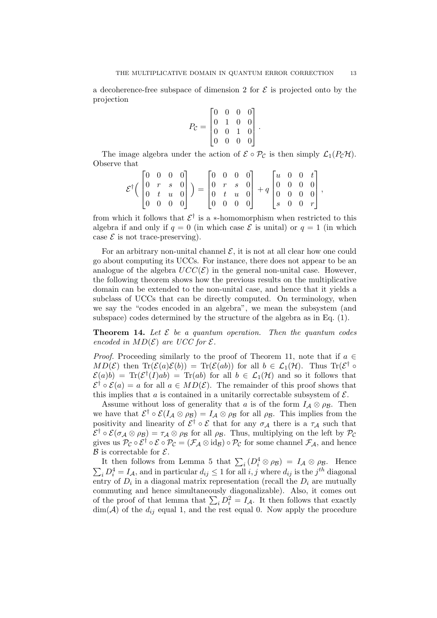a decoherence-free subspace of dimension 2 for  $\mathcal E$  is projected onto by the projection  $\overline{a}$  $\overline{a}$ 

$$
P_{\mathcal{C}} = \begin{bmatrix} 0 & 0 & 0 & 0 \\ 0 & 1 & 0 & 0 \\ 0 & 0 & 1 & 0 \\ 0 & 0 & 0 & 0 \end{bmatrix}.
$$

The image algebra under the action of  $\mathcal{E} \circ \mathcal{P}_{\mathcal{C}}$  is then simply  $\mathcal{L}_1(P_{\mathcal{C}}\mathcal{H})$ . Observe that  $\overline{r}$  $\overline{a}$  $\overline{r}$  $\overline{a}$  $\overline{r}$  $\overline{a}$ 

|  |  |  | $\begin{bmatrix} 0 & 0 & 0 & 0 \end{bmatrix}$ |  |  |  | $\begin{bmatrix} 0 & 0 & 0 & 0 \end{bmatrix}$ |  | $\begin{bmatrix} 0 & 0 & 0 & 0 \end{bmatrix} \qquad \begin{bmatrix} 0 & 0 & 0 & 0 \end{bmatrix}$<br>$\begin{bmatrix} u & 0 & 0 & t \end{bmatrix}$<br>$\mathcal{E}^{\dagger} \Big( \begin{bmatrix} 0 & r & s & 0 \\ 0 & t & u & 0 \end{bmatrix} \Big) = \begin{bmatrix} 0 & r & s & 0 \\ 0 & t & u & 0 \end{bmatrix} + q \begin{bmatrix} 0 & 0 & 0 & 0 \\ 0 & 0 & 0 & 0 \end{bmatrix},$<br>$\begin{bmatrix} s & 0 & 0 & r \end{bmatrix}$ |
|--|--|--|-----------------------------------------------|--|--|--|-----------------------------------------------|--|-----------------------------------------------------------------------------------------------------------------------------------------------------------------------------------------------------------------------------------------------------------------------------------------------------------------------------------------------------------------------------------------------------------------------------------------|

from which it follows that  $\mathcal{E}^{\dagger}$  is a \*-homomorphism when restricted to this algebra if and only if  $q = 0$  (in which case  $\mathcal E$  is unital) or  $q = 1$  (in which case  $\mathcal E$  is not trace-preserving).

For an arbitrary non-unital channel  $\mathcal{E}$ , it is not at all clear how one could go about computing its UCCs. For instance, there does not appear to be an analogue of the algebra  $UCC(\mathcal{E})$  in the general non-unital case. However, the following theorem shows how the previous results on the multiplicative domain can be extended to the non-unital case, and hence that it yields a subclass of UCCs that can be directly computed. On terminology, when we say the "codes encoded in an algebra", we mean the subsystem (and subspace) codes determined by the structure of the algebra as in Eq. (1).

**Theorem 14.** Let  $\mathcal{E}$  be a quantum operation. Then the quantum codes encoded in  $MD(\mathcal{E})$  are UCC for  $\mathcal{E}$ .

*Proof.* Proceeding similarly to the proof of Theorem 11, note that if  $a \in$  $MD(\mathcal{E})$  then  $Tr(\mathcal{E}(a)\mathcal{E}(b)) = Tr(\mathcal{E}(ab))$  for all  $b \in \mathcal{L}_1(\mathcal{H})$ . Thus  $Tr(\mathcal{E}^{\dagger} \circ$  $\mathcal{E}(a)b$  = Tr $(\mathcal{E}^{\dagger}(I)ab)$  = Tr $(ab)$  for all  $b \in \mathcal{L}_1(\mathcal{H})$  and so it follows that  $\mathcal{E}^{\dagger} \circ \mathcal{E}(a) = a$  for all  $a \in MD(\mathcal{E})$ . The remainder of this proof shows that this implies that a is contained in a unitarily correctable subsystem of  $\mathcal{E}$ .

Assume without loss of generality that a is of the form  $I_A \otimes \rho_B$ . Then we have that  $\mathcal{E}^{\dagger} \circ \mathcal{E}(I_{\mathcal{A}} \otimes \rho_{\mathcal{B}}) = I_{\mathcal{A}} \otimes \rho_{\mathcal{B}}$  for all  $\rho_{\mathcal{B}}$ . This implies from the positivity and linearity of  $\mathcal{E}^{\dagger} \circ \mathcal{E}$  that for any  $\sigma_{\mathcal{A}}$  there is a  $\tau_{\mathcal{A}}$  such that  $\mathcal{E}^{\dagger} \circ \mathcal{E}(\sigma_{\mathcal{A}} \otimes \rho_{\mathcal{B}}) = \tau_{\mathcal{A}} \otimes \rho_{\mathcal{B}}$  for all  $\rho_{\mathcal{B}}$ . Thus, multiplying on the left by  $\mathcal{P}_{\mathcal{C}}$ gives us  $\mathcal{P}_{\mathcal{C}} \circ \mathcal{E}^{\dagger} \circ \mathcal{E} \circ \mathcal{P}_{\mathcal{C}} = (\mathcal{F}_{\mathcal{A}} \otimes id_{\mathcal{B}}) \circ \mathcal{P}_{\mathcal{C}}$  for some channel  $\mathcal{F}_{\mathcal{A}}$ , and hence  $\beta$  is correctable for  $\mathcal{E}.$ 

It then follows from Lemma 5 that  $\sum_i (D_i^4 \otimes \rho_B) = I_A \otimes \rho_B$ . Hence It then follows from Lemma 5 that  $\sum_i (\nu_i \otimes p_i) = I_A \otimes p_i$ . Thence  $\sum_i D_i^4 = I_A$ , and in particular  $d_{ij} \leq 1$  for all  $i, j$  where  $d_{ij}$  is the  $j^{th}$  diagonal entry of  $D_i$  in a diagonal matrix representation (recall the  $D_i$  are mutually commuting and hence simultaneously diagonalizable). Also, it comes out commuting and nence simulaneously diagonalizable). Also, it comes out of the proof of that lemma that  $\sum_i D_i^2 = I_{\mathcal{A}}$ . It then follows that exactly  $\dim(\mathcal{A})$  of the  $d_{ij}$  equal 1, and the rest equal 0. Now apply the procedure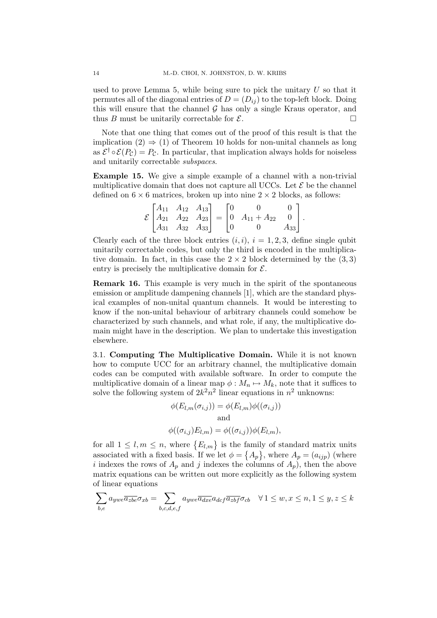used to prove Lemma 5, while being sure to pick the unitary  $U$  so that it permutes all of the diagonal entries of  $D = (D_{ij})$  to the top-left block. Doing this will ensure that the channel  $\mathcal G$  has only a single Kraus operator, and thus B must be unitarily correctable for  $\mathcal{E}$ .

Note that one thing that comes out of the proof of this result is that the implication  $(2) \Rightarrow (1)$  of Theorem 10 holds for non-unital channels as long as  $\mathcal{E}^{\dagger} \circ \mathcal{E}(P_{\mathcal{C}}) = P_{\mathcal{C}}$ . In particular, that implication always holds for noiseless and unitarily correctable subspaces.

Example 15. We give a simple example of a channel with a non-trivial multiplicative domain that does not capture all UCCs. Let  $\mathcal E$  be the channel defined on  $6 \times 6$  matrices, broken up into nine  $2 \times 2$  blocks, as follows:

$$
\mathcal{E}\begin{bmatrix} A_{11} & A_{12} & A_{13} \\ A_{21} & A_{22} & A_{23} \\ A_{31} & A_{32} & A_{33} \end{bmatrix} = \begin{bmatrix} 0 & 0 & 0 \\ 0 & A_{11} + A_{22} & 0 \\ 0 & 0 & A_{33} \end{bmatrix}.
$$

Clearly each of the three block entries  $(i, i)$ ,  $i = 1, 2, 3$ , define single qubit unitarily correctable codes, but only the third is encoded in the multiplicative domain. In fact, in this case the  $2 \times 2$  block determined by the  $(3,3)$ entry is precisely the multiplicative domain for  $\mathcal{E}$ .

Remark 16. This example is very much in the spirit of the spontaneous emission or amplitude dampening channels [1], which are the standard physical examples of non-unital quantum channels. It would be interesting to know if the non-unital behaviour of arbitrary channels could somehow be characterized by such channels, and what role, if any, the multiplicative domain might have in the description. We plan to undertake this investigation elsewhere.

3.1. Computing The Multiplicative Domain. While it is not known how to compute UCC for an arbitrary channel, the multiplicative domain codes can be computed with available software. In order to compute the multiplicative domain of a linear map  $\phi : M_n \mapsto M_k$ , note that it suffices to solve the following system of  $2k^2n^2$  linear equations in  $n^2$  unknowns:

$$
\phi(E_{l,m}(\sigma_{i,j})) = \phi(E_{l,m})\phi((\sigma_{i,j}))
$$
  
and  

$$
\phi((\sigma_{i,j})E_{l,m}) = \phi((\sigma_{i,j}))\phi(E_{l,m}),
$$

for all  $1 \leq l, m \leq n$ , where  ${E_{l,m}}$  is the family of standard matrix units associated with a fixed basis. If we let  $\phi = \{A_p\}$ , where  $A_p = (a_{ijp})$  (where i indexes the rows of  $A_p$  and j indexes the columns of  $A_p$ , then the above matrix equations can be written out more explicitly as the following system of linear equations

$$
\sum_{b,e} a_{ywe} \overline{a_{zbe}} \sigma_{xb} = \sum_{b,c,d,e,f} a_{ywe} \overline{a_{dxe}} a_{dcf} \overline{a_{zbf}} \sigma_{cb} \quad \forall 1 \le w, x \le n, 1 \le y, z \le k
$$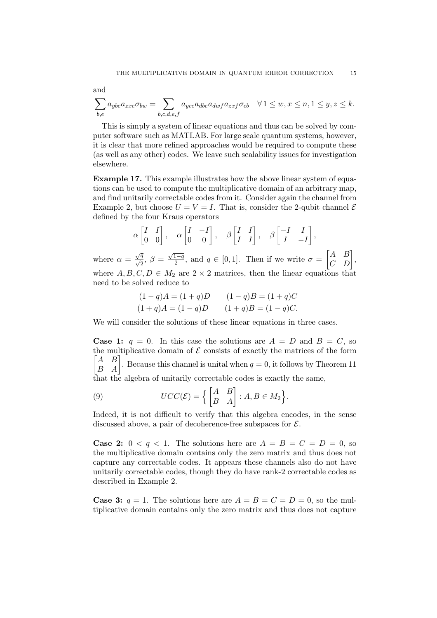and

$$
\sum_{b,e} a_{ybe} \overline{a_{zxe}} \sigma_{bw} = \sum_{b,c,d,e,f} a_{yce} \overline{a_{dbe}} a_{dwf} \overline{a_{zxf}} \sigma_{cb} \quad \forall 1 \leq w, x \leq n, 1 \leq y, z \leq k.
$$

This is simply a system of linear equations and thus can be solved by computer software such as MATLAB. For large scale quantum systems, however, it is clear that more refined approaches would be required to compute these (as well as any other) codes. We leave such scalability issues for investigation elsewhere.

Example 17. This example illustrates how the above linear system of equations can be used to compute the multiplicative domain of an arbitrary map, and find unitarily correctable codes from it. Consider again the channel from Example 2, but choose  $U = V = I$ . That is, consider the 2-qubit channel  $\mathcal E$ defined by the four Kraus operators

$$
\alpha \begin{bmatrix} I & I \\ 0 & 0 \end{bmatrix}, \quad \alpha \begin{bmatrix} I & -I \\ 0 & 0 \end{bmatrix}, \quad \beta \begin{bmatrix} I & I \\ I & I \end{bmatrix}, \quad \beta \begin{bmatrix} -I & I \\ I & -I \end{bmatrix},
$$
\nwhere  $\alpha = \frac{\sqrt{q}}{\sqrt{2}}, \ \beta = \frac{\sqrt{1-q}}{2}$ , and  $q \in [0,1]$ . Then if we write  $\sigma = \begin{bmatrix} A & B \\ C & D \end{bmatrix}$ ,  
\nwhere  $A, B, C, D \in M_2$  are  $2 \times 2$  matrices, then the linear equations that  
\nneed to be solved reduce to

$$
(1-q)A = (1+q)D \qquad (1-q)B = (1+q)C
$$
  

$$
(1+q)A = (1-q)D \qquad (1+q)B = (1-q)C.
$$

We will consider the solutions of these linear equations in three cases.

**Case 1:**  $q = 0$ . In this case the solutions are  $A = D$  and  $B = C$ , so the multiplicative domain of  $\mathcal E$  consists of exactly the matrices of the form A B the multiplicative domain of  $\varepsilon$  consists of exactly the matrices of the form  $\begin{bmatrix} A & B \\ B & A \end{bmatrix}$ . Because this channel is unital when  $q = 0$ , it follows by Theorem 11 that the algebra of unitarily correctable codes is exactly the same,

(9) 
$$
UCC(\mathcal{E}) = \left\{ \begin{bmatrix} A & B \\ B & A \end{bmatrix} : A, B \in M_2 \right\}.
$$

Indeed, it is not difficult to verify that this algebra encodes, in the sense discussed above, a pair of decoherence-free subspaces for  $\mathcal{E}$ .

**Case 2:**  $0 < q < 1$ . The solutions here are  $A = B = C = D = 0$ , so the multiplicative domain contains only the zero matrix and thus does not capture any correctable codes. It appears these channels also do not have unitarily correctable codes, though they do have rank-2 correctable codes as described in Example 2.

**Case 3:**  $q = 1$ . The solutions here are  $A = B = C = D = 0$ , so the multiplicative domain contains only the zero matrix and thus does not capture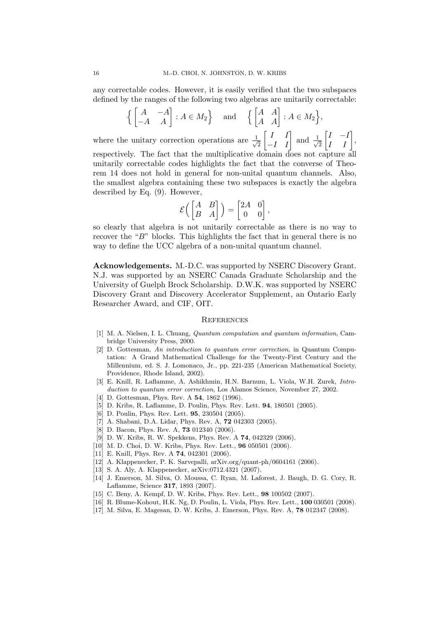any correctable codes. However, it is easily verified that the two subspaces defined by the ranges of the following two algebras are unitarily correctable:

$$
\left\{ \begin{bmatrix} A & -A \\ -A & A \end{bmatrix} : A \in M_2 \right\} \quad \text{and} \quad \left\{ \begin{bmatrix} A & A \\ A & A \end{bmatrix} : A \in M_2 \right\},
$$

where the unitary correction operations are  $\frac{1}{4}$ 2 I I  $\begin{bmatrix} I & I \\ -I & I \end{bmatrix}$  and  $\frac{1}{\sqrt{2}}$ 2 ·  $I - I$  $\begin{bmatrix} I & -I \\ I & I \end{bmatrix}$ respectively. The fact that the multiplicative domain does not capture all unitarily correctable codes highlights the fact that the converse of Theorem 14 does not hold in general for non-unital quantum channels. Also, the smallest algebra containing these two subspaces is exactly the algebra described by Eq. (9). However, · ·

$$
\mathcal{E}\left(\begin{bmatrix} A & B \\ B & A \end{bmatrix}\right) = \begin{bmatrix} 2A & 0 \\ 0 & 0 \end{bmatrix},
$$

so clearly that algebra is not unitarily correctable as there is no way to recover the "B" blocks. This highlights the fact that in general there is no way to define the UCC algebra of a non-unital quantum channel.

Acknowledgements. M.-D.C. was supported by NSERC Discovery Grant. N.J. was supported by an NSERC Canada Graduate Scholarship and the University of Guelph Brock Scholarship. D.W.K. was supported by NSERC Discovery Grant and Discovery Accelerator Supplement, an Ontario Early Researcher Award, and CIF, OIT.

# **REFERENCES**

- [1] M. A. Nielsen, I. L. Chuang, Quantum computation and quantum information, Cambridge University Press, 2000.
- [2] D. Gottesman, An introduction to quantum error correction, in Quantum Computation: A Grand Mathematical Challenge for the Twenty-First Century and the Millennium, ed. S. J. Lomonaco, Jr., pp. 221-235 (American Mathematical Society, Providence, Rhode Island, 2002).
- [3] E. Knill, R. Laflamme, A. Ashikhmin, H.N. Barnum, L. Viola, W.H. Zurek, Introduction to quantum error correction, Los Alamos Science, November 27, 2002.
- [4] D. Gottesman, Phys. Rev. A **54**, 1862 (1996).
- [5] D. Kribs, R. Laflamme, D. Poulin, Phys. Rev. Lett. 94, 180501 (2005).
- [6] D. Poulin, Phys. Rev. Lett. 95, 230504 (2005).
- [7] A. Shabani, D.A. Lidar, Phys. Rev. A, 72 042303 (2005).
- [8] D. Bacon, Phys. Rev. A, **73** 012340 (2006).
- [9] D. W. Kribs, R. W. Spekkens, Phys. Rev. A 74, 042329 (2006).
- [10] M. D. Choi, D. W. Kribs, Phys. Rev. Lett., 96 050501 (2006).
- [11] E. Knill, Phys. Rev. A **74**, 042301 (2006).
- [12] A. Klappenecker, P. K. Sarvepalli, arXiv.org/quant-ph/0604161 (2006).
- [13] S. A. Aly, A. Klappenecker, arXiv:0712.4321 (2007).
- [14] J. Emerson, M. Silva, O. Moussa, C. Ryan, M. Laforest, J. Baugh, D. G. Cory, R. Laflamme, Science 317, 1893 (2007).
- [15] C. Beny, A. Kempf, D. W. Kribs, Phys. Rev. Lett., 98 100502 (2007).
- [16] R. Blume-Kohout, H.K. Ng, D. Poulin, L. Viola, Phys. Rev. Lett., 100 030501 (2008).
- [17] M. Silva, E. Magesan, D. W. Kribs, J. Emerson, Phys. Rev. A, 78 012347 (2008).